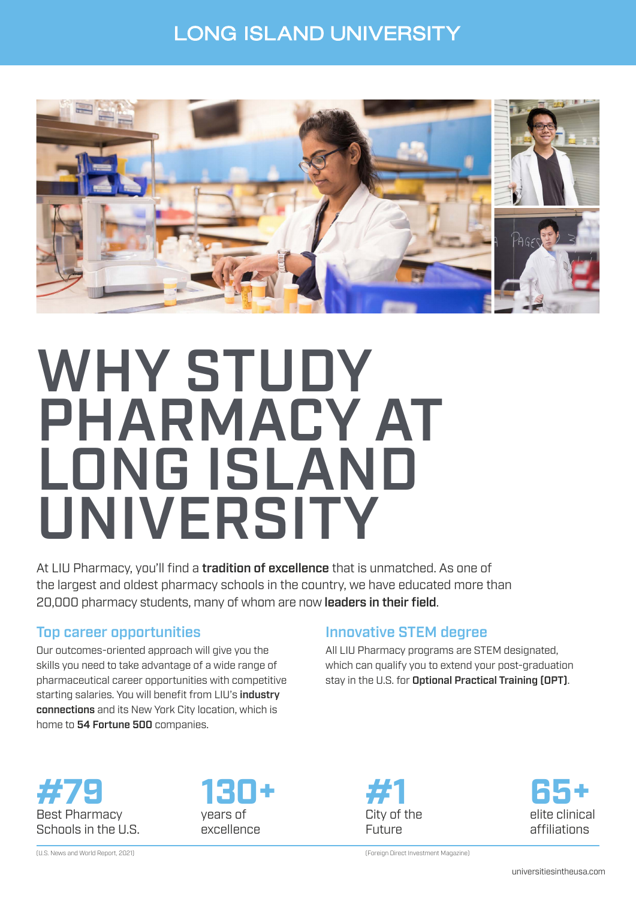### **LONG ISLAND UNIVERSITY**



# WHY STUDY PHARMACY AT LONG ISLAND UNIVERSITY

At LIU Pharmacy, you'll find a **tradition of excellence** that is unmatched. As one of the largest and oldest pharmacy schools in the country, we have educated more than 20,000 pharmacy students, many of whom are now leaders in their field.

#### Top career opportunities

Our outcomes-oriented approach will give you the skills you need to take advantage of a wide range of pharmaceutical career opportunities with competitive starting salaries. You will benefit from LIU's industry connections and its New York City location, which is home to 54 Fortune 500 companies.

#### Innovative STEM degree

All LIU Pharmacy programs are STEM designated, which can qualify you to extend your post-graduation stay in the U.S. for Optional Practical Training (OPT).



(U.S. News and World Report, 2021)







(Foreign Direct Investment Magazine)